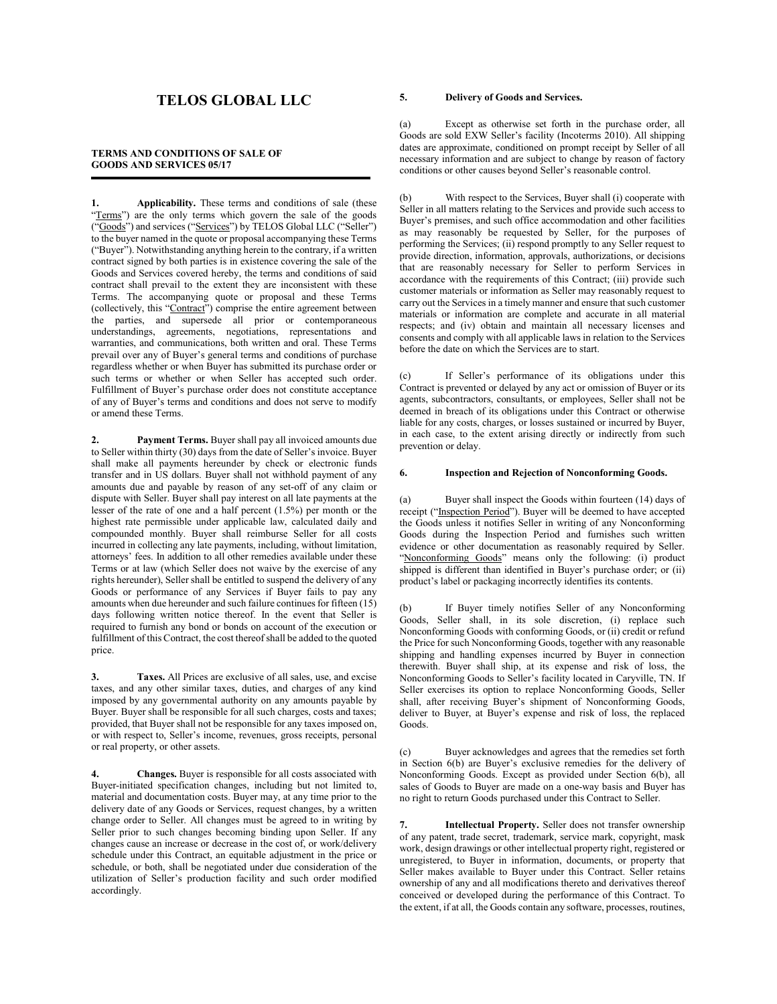# TELOS GLOBAL LLC

# TERMS AND CONDITIONS OF SALE OF GOODS AND SERVICES 05/17

1. Applicability. These terms and conditions of sale (these "Terms") are the only terms which govern the sale of the goods ("Goods") and services ("Services") by TELOS Global LLC ("Seller") to the buyer named in the quote or proposal accompanying these Terms ("Buyer"). Notwithstanding anything herein to the contrary, if a written contract signed by both parties is in existence covering the sale of the Goods and Services covered hereby, the terms and conditions of said contract shall prevail to the extent they are inconsistent with these Terms. The accompanying quote or proposal and these Terms (collectively, this "Contract") comprise the entire agreement between the parties, and supersede all prior or contemporaneous understandings, agreements, negotiations, representations and warranties, and communications, both written and oral. These Terms prevail over any of Buyer's general terms and conditions of purchase regardless whether or when Buyer has submitted its purchase order or such terms or whether or when Seller has accepted such order. Fulfillment of Buyer's purchase order does not constitute acceptance of any of Buyer's terms and conditions and does not serve to modify or amend these Terms.

2. Payment Terms. Buyer shall pay all invoiced amounts due to Seller within thirty (30) days from the date of Seller's invoice. Buyer shall make all payments hereunder by check or electronic funds transfer and in US dollars. Buyer shall not withhold payment of any amounts due and payable by reason of any set-off of any claim or dispute with Seller. Buyer shall pay interest on all late payments at the lesser of the rate of one and a half percent (1.5%) per month or the highest rate permissible under applicable law, calculated daily and compounded monthly. Buyer shall reimburse Seller for all costs incurred in collecting any late payments, including, without limitation, attorneys' fees. In addition to all other remedies available under these Terms or at law (which Seller does not waive by the exercise of any rights hereunder), Seller shall be entitled to suspend the delivery of any Goods or performance of any Services if Buyer fails to pay any amounts when due hereunder and such failure continues for fifteen (15) days following written notice thereof. In the event that Seller is required to furnish any bond or bonds on account of the execution or fulfillment of this Contract, the cost thereof shall be added to the quoted price.

3. Taxes. All Prices are exclusive of all sales, use, and excise taxes, and any other similar taxes, duties, and charges of any kind imposed by any governmental authority on any amounts payable by Buyer. Buyer shall be responsible for all such charges, costs and taxes; provided, that Buyer shall not be responsible for any taxes imposed on, or with respect to, Seller's income, revenues, gross receipts, personal or real property, or other assets.

4. Changes. Buyer is responsible for all costs associated with Buyer-initiated specification changes, including but not limited to, material and documentation costs. Buyer may, at any time prior to the delivery date of any Goods or Services, request changes, by a written change order to Seller. All changes must be agreed to in writing by Seller prior to such changes becoming binding upon Seller. If any changes cause an increase or decrease in the cost of, or work/delivery schedule under this Contract, an equitable adjustment in the price or schedule, or both, shall be negotiated under due consideration of the utilization of Seller's production facility and such order modified accordingly.

### 5. Delivery of Goods and Services.

(a) Except as otherwise set forth in the purchase order, all Goods are sold EXW Seller's facility (Incoterms 2010). All shipping dates are approximate, conditioned on prompt receipt by Seller of all necessary information and are subject to change by reason of factory conditions or other causes beyond Seller's reasonable control.

(b) With respect to the Services, Buyer shall (i) cooperate with Seller in all matters relating to the Services and provide such access to Buyer's premises, and such office accommodation and other facilities as may reasonably be requested by Seller, for the purposes of performing the Services; (ii) respond promptly to any Seller request to provide direction, information, approvals, authorizations, or decisions that are reasonably necessary for Seller to perform Services in accordance with the requirements of this Contract; (iii) provide such customer materials or information as Seller may reasonably request to carry out the Services in a timely manner and ensure that such customer materials or information are complete and accurate in all material respects; and (iv) obtain and maintain all necessary licenses and consents and comply with all applicable laws in relation to the Services before the date on which the Services are to start.

(c) If Seller's performance of its obligations under this Contract is prevented or delayed by any act or omission of Buyer or its agents, subcontractors, consultants, or employees, Seller shall not be deemed in breach of its obligations under this Contract or otherwise liable for any costs, charges, or losses sustained or incurred by Buyer, in each case, to the extent arising directly or indirectly from such prevention or delay.

## 6. Inspection and Rejection of Nonconforming Goods.

(a) Buyer shall inspect the Goods within fourteen (14) days of receipt ("Inspection Period"). Buyer will be deemed to have accepted the Goods unless it notifies Seller in writing of any Nonconforming Goods during the Inspection Period and furnishes such written evidence or other documentation as reasonably required by Seller. "Nonconforming Goods" means only the following: (i) product shipped is different than identified in Buyer's purchase order; or (ii) product's label or packaging incorrectly identifies its contents.

(b) If Buyer timely notifies Seller of any Nonconforming Goods, Seller shall, in its sole discretion, (i) replace such Nonconforming Goods with conforming Goods, or (ii) credit or refund the Price for such Nonconforming Goods, together with any reasonable shipping and handling expenses incurred by Buyer in connection therewith. Buyer shall ship, at its expense and risk of loss, the Nonconforming Goods to Seller's facility located in Caryville, TN. If Seller exercises its option to replace Nonconforming Goods, Seller shall, after receiving Buyer's shipment of Nonconforming Goods, deliver to Buyer, at Buyer's expense and risk of loss, the replaced Goods.

(c) Buyer acknowledges and agrees that the remedies set forth in Section 6(b) are Buyer's exclusive remedies for the delivery of Nonconforming Goods. Except as provided under Section 6(b), all sales of Goods to Buyer are made on a one-way basis and Buyer has no right to return Goods purchased under this Contract to Seller.

7. Intellectual Property. Seller does not transfer ownership of any patent, trade secret, trademark, service mark, copyright, mask work, design drawings or other intellectual property right, registered or unregistered, to Buyer in information, documents, or property that Seller makes available to Buyer under this Contract. Seller retains ownership of any and all modifications thereto and derivatives thereof conceived or developed during the performance of this Contract. To the extent, if at all, the Goods contain any software, processes, routines,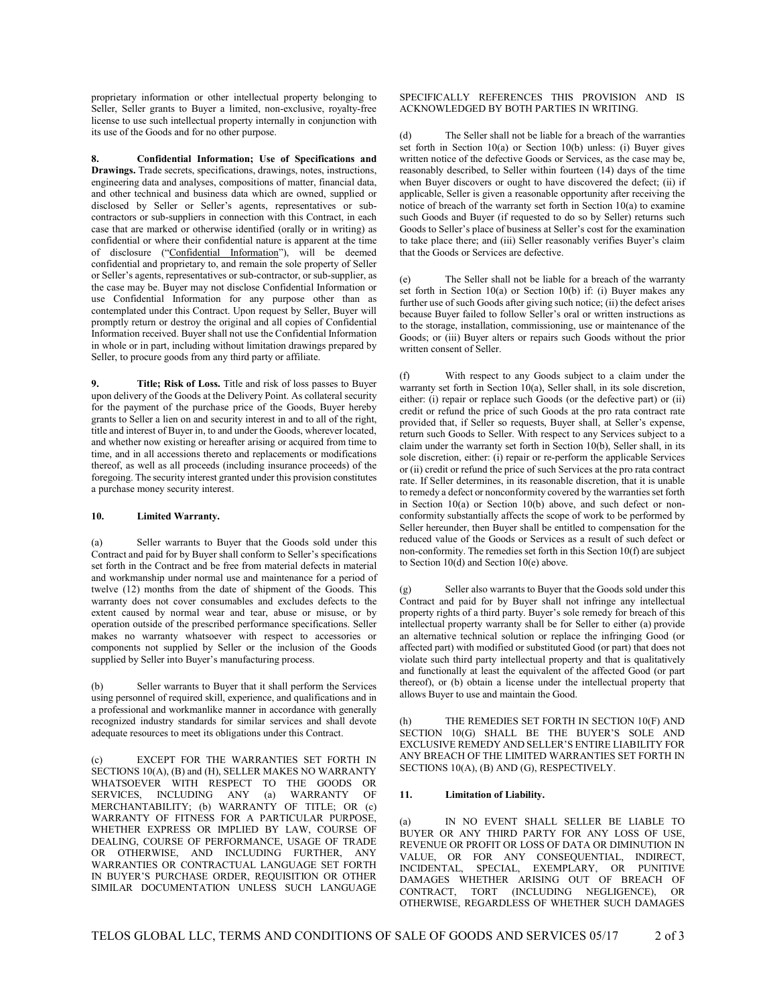proprietary information or other intellectual property belonging to Seller, Seller grants to Buyer a limited, non-exclusive, royalty-free license to use such intellectual property internally in conjunction with its use of the Goods and for no other purpose.

8. Confidential Information; Use of Specifications and Drawings. Trade secrets, specifications, drawings, notes, instructions, engineering data and analyses, compositions of matter, financial data, and other technical and business data which are owned, supplied or disclosed by Seller or Seller's agents, representatives or subcontractors or sub-suppliers in connection with this Contract, in each case that are marked or otherwise identified (orally or in writing) as confidential or where their confidential nature is apparent at the time of disclosure ("Confidential Information"), will be deemed confidential and proprietary to, and remain the sole property of Seller or Seller's agents, representatives or sub-contractor, or sub-supplier, as the case may be. Buyer may not disclose Confidential Information or use Confidential Information for any purpose other than as contemplated under this Contract. Upon request by Seller, Buyer will promptly return or destroy the original and all copies of Confidential Information received. Buyer shall not use the Confidential Information in whole or in part, including without limitation drawings prepared by Seller, to procure goods from any third party or affiliate.

9. Title; Risk of Loss. Title and risk of loss passes to Buyer upon delivery of the Goods at the Delivery Point. As collateral security for the payment of the purchase price of the Goods, Buyer hereby grants to Seller a lien on and security interest in and to all of the right, title and interest of Buyer in, to and under the Goods, wherever located, and whether now existing or hereafter arising or acquired from time to time, and in all accessions thereto and replacements or modifications thereof, as well as all proceeds (including insurance proceeds) of the foregoing. The security interest granted under this provision constitutes a purchase money security interest.

### 10. Limited Warranty.

(a) Seller warrants to Buyer that the Goods sold under this Contract and paid for by Buyer shall conform to Seller's specifications set forth in the Contract and be free from material defects in material and workmanship under normal use and maintenance for a period of twelve (12) months from the date of shipment of the Goods. This warranty does not cover consumables and excludes defects to the extent caused by normal wear and tear, abuse or misuse, or by operation outside of the prescribed performance specifications. Seller makes no warranty whatsoever with respect to accessories or components not supplied by Seller or the inclusion of the Goods supplied by Seller into Buyer's manufacturing process.

(b) Seller warrants to Buyer that it shall perform the Services using personnel of required skill, experience, and qualifications and in a professional and workmanlike manner in accordance with generally recognized industry standards for similar services and shall devote adequate resources to meet its obligations under this Contract.

(c) EXCEPT FOR THE WARRANTIES SET FORTH IN SECTIONS 10(A), (B) and (H), SELLER MAKES NO WARRANTY WHATSOEVER WITH RESPECT TO THE GOODS OR SERVICES, INCLUDING ANY (a) WARRANTY OF MERCHANTABILITY; (b) WARRANTY OF TITLE; OR (c) WARRANTY OF FITNESS FOR A PARTICULAR PURPOSE, WHETHER EXPRESS OR IMPLIED BY LAW, COURSE OF DEALING, COURSE OF PERFORMANCE, USAGE OF TRADE OR OTHERWISE, AND INCLUDING FURTHER, ANY WARRANTIES OR CONTRACTUAL LANGUAGE SET FORTH IN BUYER'S PURCHASE ORDER, REQUISITION OR OTHER SIMILAR DOCUMENTATION UNLESS SUCH LANGUAGE

#### SPECIFICALLY REFERENCES THIS PROVISION AND IS ACKNOWLEDGED BY BOTH PARTIES IN WRITING.

(d) The Seller shall not be liable for a breach of the warranties set forth in Section 10(a) or Section 10(b) unless: (i) Buyer gives written notice of the defective Goods or Services, as the case may be, reasonably described, to Seller within fourteen (14) days of the time when Buyer discovers or ought to have discovered the defect; (ii) if applicable, Seller is given a reasonable opportunity after receiving the notice of breach of the warranty set forth in Section 10(a) to examine such Goods and Buyer (if requested to do so by Seller) returns such Goods to Seller's place of business at Seller's cost for the examination to take place there; and (iii) Seller reasonably verifies Buyer's claim that the Goods or Services are defective.

(e) The Seller shall not be liable for a breach of the warranty set forth in Section 10(a) or Section 10(b) if: (i) Buyer makes any further use of such Goods after giving such notice; (ii) the defect arises because Buyer failed to follow Seller's oral or written instructions as to the storage, installation, commissioning, use or maintenance of the Goods; or (iii) Buyer alters or repairs such Goods without the prior written consent of Seller.

(f) With respect to any Goods subject to a claim under the warranty set forth in Section 10(a), Seller shall, in its sole discretion, either: (i) repair or replace such Goods (or the defective part) or (ii) credit or refund the price of such Goods at the pro rata contract rate provided that, if Seller so requests, Buyer shall, at Seller's expense, return such Goods to Seller. With respect to any Services subject to a claim under the warranty set forth in Section 10(b), Seller shall, in its sole discretion, either: (i) repair or re-perform the applicable Services or (ii) credit or refund the price of such Services at the pro rata contract rate. If Seller determines, in its reasonable discretion, that it is unable to remedy a defect or nonconformity covered by the warranties set forth in Section  $10(a)$  or Section  $10(b)$  above, and such defect or nonconformity substantially affects the scope of work to be performed by Seller hereunder, then Buyer shall be entitled to compensation for the reduced value of the Goods or Services as a result of such defect or non-conformity. The remedies set forth in this Section 10(f) are subject to Section 10(d) and Section 10(e) above.

(g) Seller also warrants to Buyer that the Goods sold under this Contract and paid for by Buyer shall not infringe any intellectual property rights of a third party. Buyer's sole remedy for breach of this intellectual property warranty shall be for Seller to either (a) provide an alternative technical solution or replace the infringing Good (or affected part) with modified or substituted Good (or part) that does not violate such third party intellectual property and that is qualitatively and functionally at least the equivalent of the affected Good (or part thereof), or (b) obtain a license under the intellectual property that allows Buyer to use and maintain the Good.

(h) THE REMEDIES SET FORTH IN SECTION 10(F) AND SECTION 10(G) SHALL BE THE BUYER'S SOLE AND EXCLUSIVE REMEDY AND SELLER'S ENTIRE LIABILITY FOR ANY BREACH OF THE LIMITED WARRANTIES SET FORTH IN SECTIONS 10(A), (B) AND (G), RESPECTIVELY.

#### 11. Limitation of Liability.

(a) IN NO EVENT SHALL SELLER BE LIABLE TO BUYER OR ANY THIRD PARTY FOR ANY LOSS OF USE, REVENUE OR PROFIT OR LOSS OF DATA OR DIMINUTION IN VALUE, OR FOR ANY CONSEQUENTIAL, INDIRECT, INCIDENTAL, SPECIAL, EXEMPLARY, OR PUNITIVE DAMAGES WHETHER ARISING OUT OF BREACH OF CONTRACT, TORT (INCLUDING NEGLIGENCE), OR OTHERWISE, REGARDLESS OF WHETHER SUCH DAMAGES